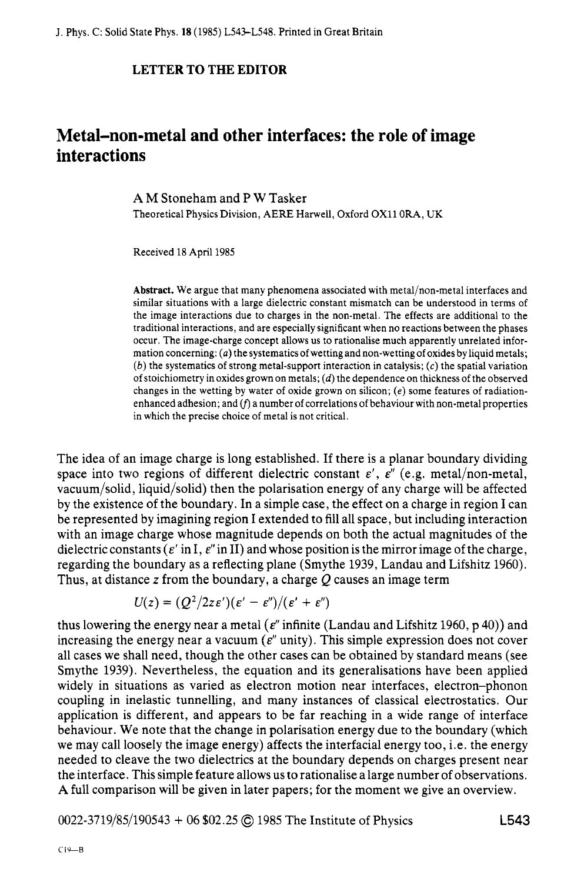## **LETTER TO THE EDITOR**

## **Metal-non-metal and other interfaces: the role of image interactions**

**A** M Stoneham and P **W** Tasker Theoretical Physics Division, AERE Harwell, Oxford **OX11** ORA, UK

Received 18 April 1985

**Abstract.** We argue that many phenomena associated with metal/non-metal interfaces and similar situations with a large dielectric constant mismatch can be understood in terms of the image interactions due to charges in the non-metal. The effects are additional to the traditional interactions, and are especially significant when no reactions between the phases occur. The image-charge concept allows us to rationalise much apparently unrelated information concerning: (*a*) the systematics of wetting and non-wetting of oxides by liquid metals; *(b)* the systematics of strong metal-support interaction in catalysis; **(c)** the spatial variation of stoichiometry in oxides grown on metals; *(d)* the dependence on thickness of the observed changes in the wetting by water of oxide grown on silicon; **(e)** some features of radiationenhanced adhesion; and  $(f)$  a number of correlations of behaviour with non-metal properties in which the precise choice of metal is not critical.

The idea of an image charge is long established. If there is a planar boundary dividing space into two regions of different dielectric constant  $\varepsilon'$ ,  $\varepsilon''$  (e.g. metal/non-metal, vacuum/solid, liquid/solid) then the polarisation energy of any charge will be affected by the existence of the boundary. In a simple case, the effect on a charge in region **I** can be represented by imagining region I extended to fill all space, but including interaction with an image charge whose magnitude depends on both the actual magnitudes of the dielectric constants  $\epsilon'$  in I,  $\epsilon''$  in II) and whose position is the mirror image of the charge, regarding the boundary as a reflecting plane (Smythe 1939, Landau and Lifshitz 1960). Thus, at distance *z* from the boundary, a charge *Q* causes an image term

$$
U(z) = (Q^2/2ze')(\varepsilon' - \varepsilon'')/(\varepsilon' + \varepsilon'')
$$

thus lowering the energy near a metal  $(\epsilon^n$  infinite (Landau and Lifshitz 1960, p 40)) and increasing the energy near a vacuum  $(e^v$  unity). This simple expression does not cover all cases we shall need, though the other cases can be obtained by standard means (see Smythe 1939). Nevertheless, the equation and its generalisations have been applied widely in situations as varied as electron motion near interfaces, electron-phonon coupling in inelastic tunnelling, and many instances of classical electrostatics. Our application is different, and appears to be far reaching in a wide range of interface behaviour. We note that the change in polarisation energy due to the boundary (which we may call loosely the image energy) affects the interfacial energy too, i.e. the energy needed to cleave the two dielectrics at the boundary depends on charges present near the interface. This simple feature allows us to rationalise a large number of observations. **A** full comparison will be given in later papers; for the moment we give an overview.

0022-3719/85/190543 + 06 *\$02.25 0* 1985 The Institute of Physics **L543**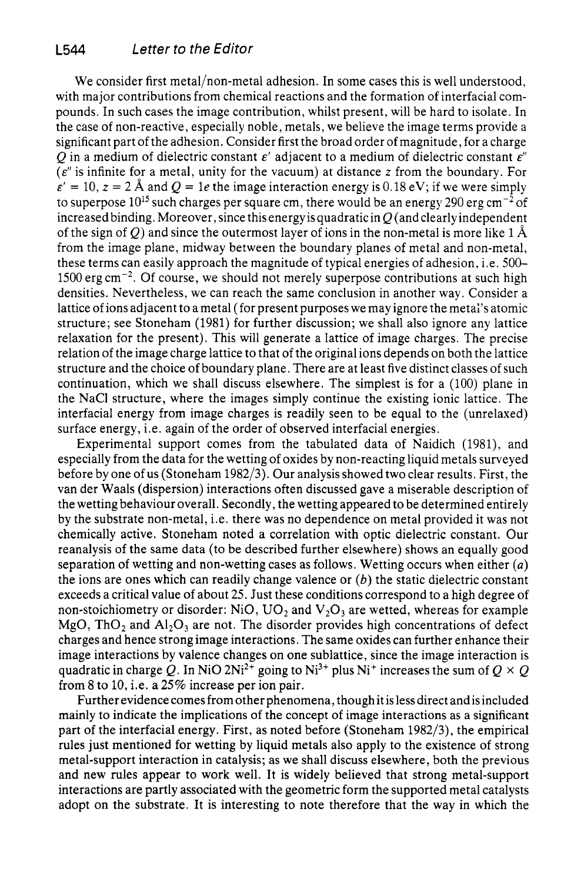We consider first metal/non-metal adhesion. In some cases this is well understood, with major contributions from chemical reactions and the formation of interfacial compounds. In such cases the image contribution, whilst present, will be hard to isolate. In the case of non-reactive, especially noble, metals, we believe the image terms provide a significant part of the adhesion. Consider first the broad order of magnitude, for a charge O in a medium of dielectric constant  $\varepsilon'$  adjacent to a medium of dielectric constant  $\varepsilon''$ *(E"* is infinite for a metal, unity for the vacuum) at distance *z* from the boundary. For  $\varepsilon' = 10$ ,  $z = 2$  Å and  $Q = 1e$  the image interaction energy is 0.18 eV; if we were simply to superpose  $10^{15}$  such charges per square cm, there would be an energy 290 erg cm<sup>-2</sup> of increased binding. Moreover, since this energy is quadratic in  $O$  (and clearly independent of the sign of Q) and since the outermost layer of ions in the non-metal is more like  $1 \text{ Å}$ from the image plane, midway between the boundary planes of metal and non-metal, these terms can easily approach the magnitude of typical energies of adhesion, i.e. *500-*   $1500 \text{ erg cm}^{-2}$ . Of course, we should not merely superpose contributions at such high densities. Nevertheless, we can reach the same conclusion in another way. Consider a lattice of ions adjacent to a metal (for present purposes we may ignore the metai's atomic structure; see Stoneham (1981) for further discussion; we shall also ignore any lattice relaxation for the present). This will generate a lattice of image charges. The precise relation of the image charge lattice to that of the original ions depends on both the lattice structure and the choice of boundary plane. There are at least five distinct classes of such continuation, which we shall discuss elsewhere. The simplest is for a (100) plane in the NaCl structure, where the images simply continue the existing ionic lattice. The interfacial energy from image charges is readily seen to be equal to the (unrelaxed) surface energy, i.e. again of the order of observed interfacial energies.

Experimental support comes from the tabulated data of Naidich (1981), and especially from the data for the wetting of oxides by non-reacting liquid metals surveyed before by one of us (Stoneham 1982/3). Our analysis showed two clear results. First, the van der Waals (dispersion) interactions often discussed gave a miserable description of the wetting behaviour overall. Secondly, the wetting appeared to be determined entirely by the substrate non-metal, i.e. there was no dependence on metal provided it was not chemically active. Stoneham noted a correlation with optic dielectric constant. Our reanalysis of the same data (to be described further elsewhere) shows an equally good separation of wetting and non-wetting cases as follows. Wetting occurs when either *(a)*  the ions are ones which can readily change valence or *(b)* the static dielectric constant exceeds a critical value of about 25. Just these conditions correspond to a high degree of non-stoichiometry or disorder: NiO,  $UO_2$  and  $V_2O_3$  are wetted, whereas for example  $MgO$ , ThO<sub>2</sub> and Al<sub>2</sub>O<sub>3</sub> are not. The disorder provides high concentrations of defect charges and hence strong image interactions. The same oxides can further enhance their image interactions by valence changes on one sublattice, since the image interaction is quadratic in charge Q. In NiO 2Ni<sup>2+</sup> going to Ni<sup>3+</sup> plus Ni<sup>+</sup> increases the sum of  $Q \times Q$ from 8 to 10, i.e. a 25% increase per ion pair.

Further evidence comes from other phenomena, though it is less direct and is included mainly to indicate the implications of the concept of image interactions as a significant part of the interfacial energy. First, as noted before (Stoneham 1982/3), the empirical rules just mentioned for wetting by liquid metals also apply to the existence of strong metal-support interaction in catalysis; as we shall discuss elsewhere, both the previous and new rules appear to work well. It is widely believed that strong metal-support interactions are partly associated with the geometric form the supported metal catalysts adopt on the substrate. It is interesting to note therefore that the way in which the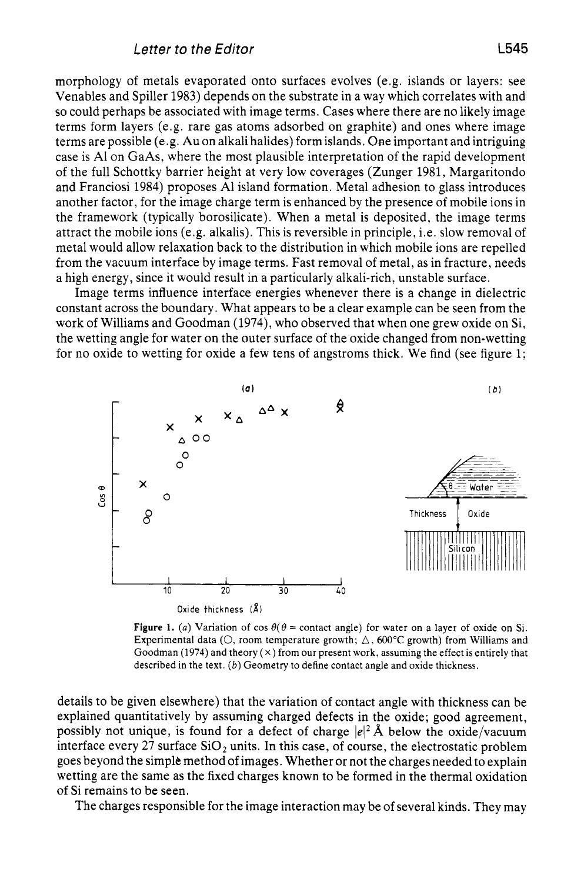morphology of metals evaporated onto surfaces evolves (e.g. islands or layers: see Venables and Spiller 1983) depends on the substrate in a way which correlates with and so could perhaps be associated with image terms. Cases where there are no likely image terms form layers (e.g. rare gas atoms adsorbed on graphite) and ones where image terms are possible (e.g. Au on alkali halides) form islands. One important and intriguing case is A1 on GaAs, where the most plausible interpretation of the rapid development of the full Schottky barrier height at very low coverages (Zunger 1981, Margaritondo and Franciosi 1984) proposes A1 island formation. Metal adhesion to glass introduces another factor, for the image charge term is enhanced by the presence of mobile ions in the framework (typically borosilicate). When a metal is deposited, the image terms attract the mobile ions (e.g. alkalis). This is reversible in principle, i.e. slow removal of metal would allow relaxation back to the distribution in which mobile ions are repelled from the vacuum interface by image terms. Fast removal of metal, as in fracture, needs a high energy, since it would result in a particularly alkali-rich, unstable surface.

Image terms influence interface energies whenever there is a change in dielectric constant across the boundary. What appears to be a clear example can be seen from the work of Williams and Goodman (1974), who observed that when one grew oxide on Si, the wetting angle for water on the outer surface of the oxide changed from non-wetting for no oxide to wetting for oxide a few tens of angstroms thick. We find (see figure  $1$ ;



**Figure 1.** (a) Variation of  $\cos \theta$  ( $\theta$  = contact angle) for water on a layer of oxide on Si. Experimental data  $(O,$  room temperature growth;  $\Delta$ , 600°C growth) from Williams and Goodman **(1974)** and theory (x) from our present work, assuming the effect is entirely that described in the text. *(b)* Geometry to define contact angle and oxide thickness.

details to be given elsewhere) that the variation of contact angle with thickness can be explained quantitatively by assuming charged defects in the oxide; good agreement, possibly not unique, is found for a defect of charge  $|e|^2 \text{ Å}$  below the oxide/vacuum interface every 27 surface  $SiO<sub>2</sub>$  units. In this case, of course, the electrostatic problem goes beyond the simple method of images. Whether or not the charges needed to explain wetting are the same as the fixed charges known to be formed in the thermal oxidation of Si remains to be seen.

The charges responsible for the image interaction may be of several kinds. They may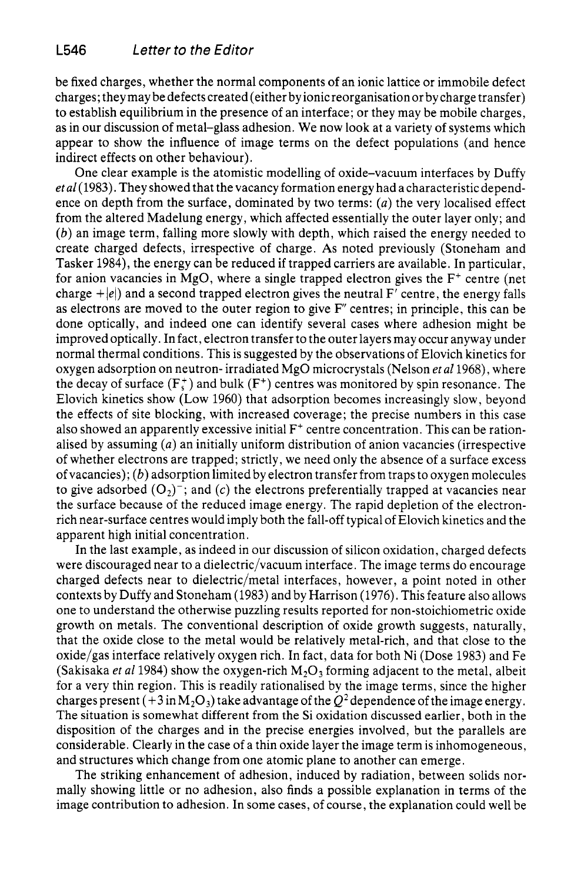be fixed charges, whether the normal components of an ionic lattice or immobile defect charges; they may be defects created (either by ionic reorganisation or by charge transfer) to establish equilibrium in the presence of an interface; or they may be mobile charges, as in our discussion of metal-glass adhesion. We now look at a variety of systems which appear to show the influence of image terms on the defect populations (and hence indirect effects on other behaviour).

One clear example is the atomistic modelling of oxide-vacuum interfaces by Duffy **etal(l983).** They showed that the vacancy formation energy had a characteristic dependence on depth from the surface, dominated by two terms: *(a)* the very localised effect from the altered Madelung energy, which affected essentially the outer layer only; and *(b)* an image term, falling more slowly with depth, which raised the energy needed to create charged defects, irrespective of charge. **As** noted previously (Stoneham and Tasker **1984),** the energy can be reduced if trapped carriers are available. In particular, for anion vacancies in MgO, where a single trapped electron gives the  $F^+$  centre (net charge  $+|e|$ ) and a second trapped electron gives the neutral  $F'$  centre, the energy falls as electrons are moved to the outer region to give  $F''$  centres; in principle, this can be done optically, and indeed one can identify several cases where adhesion might be improved optically. In fact, electron transfer to the outer layers may occur anyway under normal thermal conditions. This is suggested by the observations of Elovich kinetics for oxygen adsorption on neutron- irradiated MgO microcrystals (Nelson *et al* 1968), where the decay of surface  $(F_{\sigma}^+)$  and bulk  $(F^+)$  centres was monitored by spin resonance. The Elovich kinetics show (Low **1960)** that adsorption becomes increasingly slow, beyond the effects of site blocking, with increased coverage; the precise numbers in this case also showed an apparently excessive initial F<sup>+</sup> centre concentration. This can be rationalised by assuming *(a)* an initially uniform distribution of anion vacancies (irrespective of whether electrons are trapped; strictly, we need only the absence of a surface excess of vacancies); *(b)* adsorption limited by electron transfer from traps to oxygen molecules to give adsorbed  $(O_2)$ <sup>-</sup>; and *(c)* the electrons preferentially trapped at vacancies near the surface because of the reduced image energy. The rapid depletion of the electronrich near-surface centres would imply both the fall-off typical of Elovich kinetics and the apparent high initial concentration.

In the last example, as indeed in our discussion of silicon oxidation, charged defects were discouraged near to a dielectric/vacuum interface. The image terms do encourage charged defects near to dielectric/metal interfaces, however, a point noted in other contexts by Duffy and Stoneham **(1983)** and by Harrison **(1976).** This feature also allows one to understand the otherwise puzzling results reported for non-stoichiometric oxide growth on metals. The conventional description of oxide growth suggests, naturally, that the oxide close to the metal would be relatively metal-rich, and that close to the oxide/gas interface relatively oxygen rich. In fact, data for both Ni (Dose **1983)** and Fe (Sakisaka *et al* 1984) show the oxygen-rich  $M_2O_3$  forming adjacent to the metal, albeit for a very thin region. This is readily rationalised by the image terms, since the higher charges present  $(+3 \text{ in } M_2O_3)$  take advantage of the  $Q^2$  dependence of the image energy. The situation is somewhat different from the Si oxidation discussed earlier, both in the disposition of the charges and in the precise energies involved, but the parallels are considerable. Clearly in the case of a thin oxide layer the image term is inhomogeneous, and structures which change from one atomic plane to another can emerge.

The striking enhancement of adhesion, induced by radiation, between solids normally showing little or no adhesion, also finds a possible explanation in terms of the image contribution to adhesion. In some cases, of course, the explanation could well be